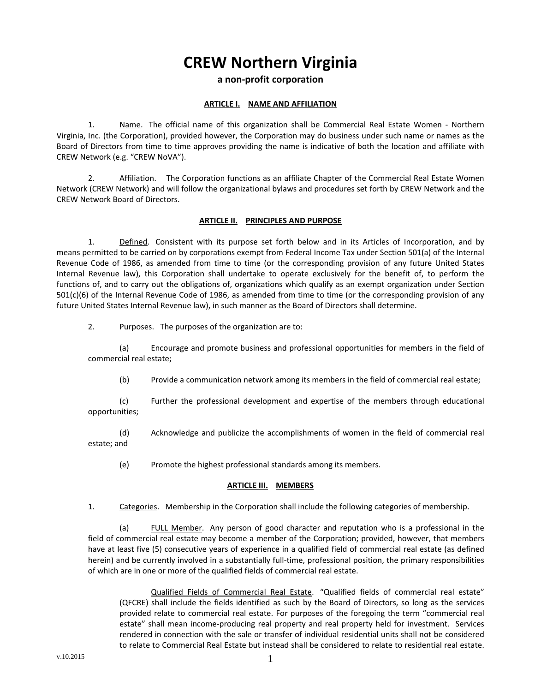# **CREW Northern Virginia**

# **a non‐profit corporation**

#### **ARTICLE I. NAME AND AFFILIATION**

1. Name. The official name of this organization shall be Commercial Real Estate Women - Northern Virginia, Inc. (the Corporation), provided however, the Corporation may do business under such name or names as the Board of Directors from time to time approves providing the name is indicative of both the location and affiliate with CREW Network (e.g. "CREW NoVA").

2. Affiliation. The Corporation functions as an affiliate Chapter of the Commercial Real Estate Women Network (CREW Network) and will follow the organizational bylaws and procedures set forth by CREW Network and the CREW Network Board of Directors.

#### **ARTICLE II. PRINCIPLES AND PURPOSE**

1. Defined. Consistent with its purpose set forth below and in its Articles of Incorporation, and by means permitted to be carried on by corporations exempt from Federal Income Tax under Section 501(a) of the Internal Revenue Code of 1986, as amended from time to time (or the corresponding provision of any future United States Internal Revenue law), this Corporation shall undertake to operate exclusively for the benefit of, to perform the functions of, and to carry out the obligations of, organizations which qualify as an exempt organization under Section 501(c)(6) of the Internal Revenue Code of 1986, as amended from time to time (or the corresponding provision of any future United States Internal Revenue law), in such manner as the Board of Directors shall determine.

2. Purposes. The purposes of the organization are to:

(a) Encourage and promote business and professional opportunities for members in the field of commercial real estate;

(b) Provide a communication network among its members in the field of commercial real estate;

(c) Further the professional development and expertise of the members through educational opportunities;

(d) Acknowledge and publicize the accomplishments of women in the field of commercial real estate; and

(e) Promote the highest professional standards among its members.

#### **ARTICLE III. MEMBERS**

1. Categories. Membership in the Corporation shall include the following categories of membership.

(a) FULL Member. Any person of good character and reputation who is a professional in the field of commercial real estate may become a member of the Corporation; provided, however, that members have at least five (5) consecutive years of experience in a qualified field of commercial real estate (as defined herein) and be currently involved in a substantially full-time, professional position, the primary responsibilities of which are in one or more of the qualified fields of commercial real estate.

Qualified Fields of Commercial Real Estate. "Qualified fields of commercial real estate" (QFCRE) shall include the fields identified as such by the Board of Directors, so long as the services provided relate to commercial real estate. For purposes of the foregoing the term "commercial real estate" shall mean income-producing real property and real property held for investment. Services rendered in connection with the sale or transfer of individual residential units shall not be considered to relate to Commercial Real Estate but instead shall be considered to relate to residential real estate.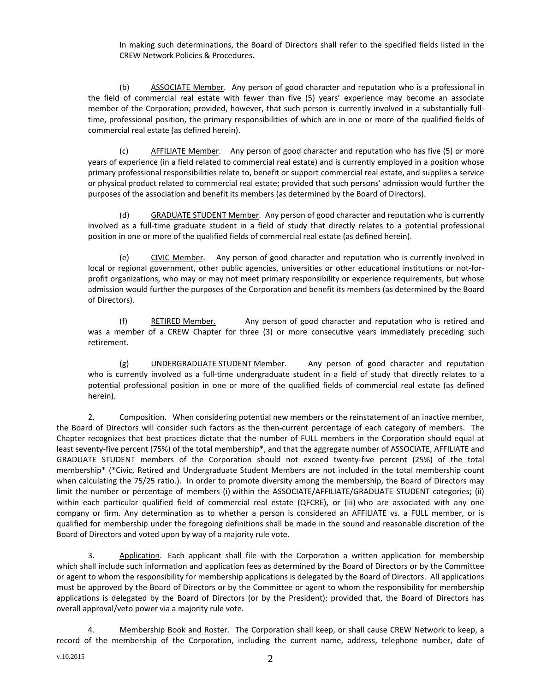In making such determinations, the Board of Directors shall refer to the specified fields listed in the CREW Network Policies & Procedures.

(b) ASSOCIATE Member. Any person of good character and reputation who is a professional in the field of commercial real estate with fewer than five (5) years' experience may become an associate member of the Corporation; provided, however, that such person is currently involved in a substantially full‐ time, professional position, the primary responsibilities of which are in one or more of the qualified fields of commercial real estate (as defined herein).

(c) AFFILIATE Member. Any person of good character and reputation who has five (5) or more years of experience (in a field related to commercial real estate) and is currently employed in a position whose primary professional responsibilities relate to, benefit or support commercial real estate, and supplies a service or physical product related to commercial real estate; provided that such persons' admission would further the purposes of the association and benefit its members (as determined by the Board of Directors).

(d) GRADUATE STUDENT Member. Any person of good character and reputation who is currently involved as a full‐time graduate student in a field of study that directly relates to a potential professional position in one or more of the qualified fields of commercial real estate (as defined herein).

(e) CIVIC Member. Any person of good character and reputation who is currently involved in local or regional government, other public agencies, universities or other educational institutions or not-forprofit organizations, who may or may not meet primary responsibility or experience requirements, but whose admission would further the purposes of the Corporation and benefit its members (as determined by the Board of Directors).

(f) RETIRED Member. Any person of good character and reputation who is retired and was a member of a CREW Chapter for three (3) or more consecutive years immediately preceding such retirement.

(g) UNDERGRADUATE STUDENT Member. Any person of good character and reputation who is currently involved as a full-time undergraduate student in a field of study that directly relates to a potential professional position in one or more of the qualified fields of commercial real estate (as defined herein).

2. Composition. When considering potential new members or the reinstatement of an inactive member, the Board of Directors will consider such factors as the then-current percentage of each category of members. The Chapter recognizes that best practices dictate that the number of FULL members in the Corporation should equal at least seventy‐five percent (75%) of the total membership\*, and that the aggregate number of ASSOCIATE, AFFILIATE and GRADUATE STUDENT members of the Corporation should not exceed twenty‐five percent (25%) of the total membership\* (\*Civic, Retired and Undergraduate Student Members are not included in the total membership count when calculating the 75/25 ratio.). In order to promote diversity among the membership, the Board of Directors may limit the number or percentage of members (i) within the ASSOCIATE/AFFILIATE/GRADUATE STUDENT categories; (ii) within each particular qualified field of commercial real estate (QFCRE), or (iii) who are associated with any one company or firm. Any determination as to whether a person is considered an AFFILIATE vs. a FULL member, or is qualified for membership under the foregoing definitions shall be made in the sound and reasonable discretion of the Board of Directors and voted upon by way of a majority rule vote.

3. Application. Each applicant shall file with the Corporation a written application for membership which shall include such information and application fees as determined by the Board of Directors or by the Committee or agent to whom the responsibility for membership applications is delegated by the Board of Directors. All applications must be approved by the Board of Directors or by the Committee or agent to whom the responsibility for membership applications is delegated by the Board of Directors (or by the President); provided that, the Board of Directors has overall approval/veto power via a majority rule vote.

4. Membership Book and Roster. The Corporation shall keep, or shall cause CREW Network to keep, a record of the membership of the Corporation, including the current name, address, telephone number, date of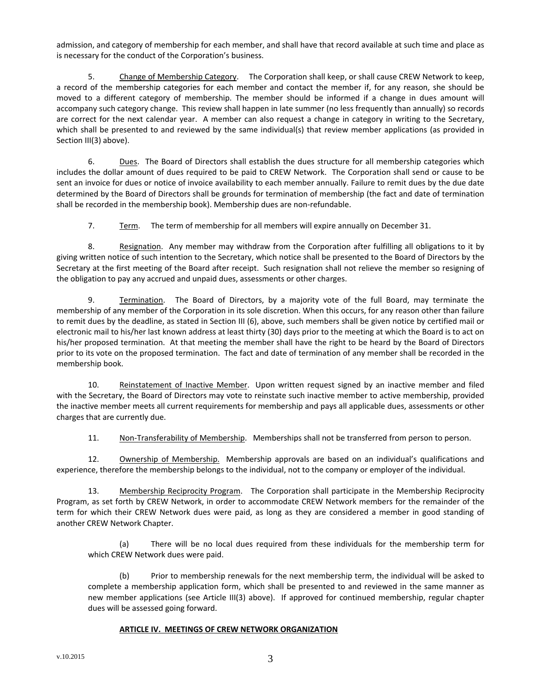admission, and category of membership for each member, and shall have that record available at such time and place as is necessary for the conduct of the Corporation's business.

5. Change of Membership Category. The Corporation shall keep, or shall cause CREW Network to keep, a record of the membership categories for each member and contact the member if, for any reason, she should be moved to a different category of membership. The member should be informed if a change in dues amount will accompany such category change. This review shall happen in late summer (no less frequently than annually) so records are correct for the next calendar year. A member can also request a change in category in writing to the Secretary, which shall be presented to and reviewed by the same individual(s) that review member applications (as provided in Section III(3) above).

6. Dues. The Board of Directors shall establish the dues structure for all membership categories which includes the dollar amount of dues required to be paid to CREW Network. The Corporation shall send or cause to be sent an invoice for dues or notice of invoice availability to each member annually. Failure to remit dues by the due date determined by the Board of Directors shall be grounds for termination of membership (the fact and date of termination shall be recorded in the membership book). Membership dues are non‐refundable.

7. Term. The term of membership for all members will expire annually on December 31.

8. Resignation. Any member may withdraw from the Corporation after fulfilling all obligations to it by giving written notice of such intention to the Secretary, which notice shall be presented to the Board of Directors by the Secretary at the first meeting of the Board after receipt. Such resignation shall not relieve the member so resigning of the obligation to pay any accrued and unpaid dues, assessments or other charges.

9. Termination. The Board of Directors, by a majority vote of the full Board, may terminate the membership of any member of the Corporation in its sole discretion. When this occurs, for any reason other than failure to remit dues by the deadline, as stated in Section III (6), above, such members shall be given notice by certified mail or electronic mail to his/her last known address at least thirty (30) days prior to the meeting at which the Board is to act on his/her proposed termination. At that meeting the member shall have the right to be heard by the Board of Directors prior to its vote on the proposed termination. The fact and date of termination of any member shall be recorded in the membership book.

10. Reinstatement of Inactive Member. Upon written request signed by an inactive member and filed with the Secretary, the Board of Directors may vote to reinstate such inactive member to active membership, provided the inactive member meets all current requirements for membership and pays all applicable dues, assessments or other charges that are currently due.

11. Non-Transferability of Membership. Memberships shall not be transferred from person to person.

12. Ownership of Membership. Membership approvals are based on an individual's qualifications and experience, therefore the membership belongs to the individual, not to the company or employer of the individual.

13. Membership Reciprocity Program. The Corporation shall participate in the Membership Reciprocity Program, as set forth by CREW Network, in order to accommodate CREW Network members for the remainder of the term for which their CREW Network dues were paid, as long as they are considered a member in good standing of another CREW Network Chapter.

(a) There will be no local dues required from these individuals for the membership term for which CREW Network dues were paid.

(b) Prior to membership renewals for the next membership term, the individual will be asked to complete a membership application form, which shall be presented to and reviewed in the same manner as new member applications (see Article III(3) above). If approved for continued membership, regular chapter dues will be assessed going forward.

## **ARTICLE IV. MEETINGS OF CREW NETWORK ORGANIZATION**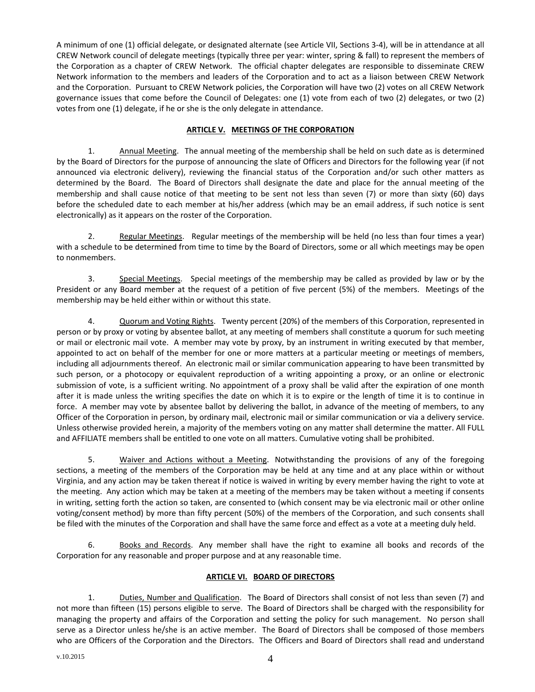A minimum of one (1) official delegate, or designated alternate (see Article VII, Sections 3‐4), will be in attendance at all CREW Network council of delegate meetings (typically three per year: winter, spring & fall) to represent the members of the Corporation as a chapter of CREW Network. The official chapter delegates are responsible to disseminate CREW Network information to the members and leaders of the Corporation and to act as a liaison between CREW Network and the Corporation. Pursuant to CREW Network policies, the Corporation will have two (2) votes on all CREW Network governance issues that come before the Council of Delegates: one (1) vote from each of two (2) delegates, or two (2) votes from one (1) delegate, if he or she is the only delegate in attendance.

# **ARTICLE V. MEETINGS OF THE CORPORATION**

1. Annual Meeting. The annual meeting of the membership shall be held on such date as is determined by the Board of Directors for the purpose of announcing the slate of Officers and Directors for the following year (if not announced via electronic delivery), reviewing the financial status of the Corporation and/or such other matters as determined by the Board. The Board of Directors shall designate the date and place for the annual meeting of the membership and shall cause notice of that meeting to be sent not less than seven (7) or more than sixty (60) days before the scheduled date to each member at his/her address (which may be an email address, if such notice is sent electronically) as it appears on the roster of the Corporation.

2. Regular Meetings. Regular meetings of the membership will be held (no less than four times a year) with a schedule to be determined from time to time by the Board of Directors, some or all which meetings may be open to nonmembers.

3. Special Meetings. Special meetings of the membership may be called as provided by law or by the President or any Board member at the request of a petition of five percent (5%) of the members. Meetings of the membership may be held either within or without this state.

4. Quorum and Voting Rights. Twenty percent (20%) of the members of this Corporation, represented in person or by proxy or voting by absentee ballot, at any meeting of members shall constitute a quorum for such meeting or mail or electronic mail vote. A member may vote by proxy, by an instrument in writing executed by that member, appointed to act on behalf of the member for one or more matters at a particular meeting or meetings of members, including all adjournments thereof. An electronic mail or similar communication appearing to have been transmitted by such person, or a photocopy or equivalent reproduction of a writing appointing a proxy, or an online or electronic submission of vote, is a sufficient writing. No appointment of a proxy shall be valid after the expiration of one month after it is made unless the writing specifies the date on which it is to expire or the length of time it is to continue in force. A member may vote by absentee ballot by delivering the ballot, in advance of the meeting of members, to any Officer of the Corporation in person, by ordinary mail, electronic mail or similar communication or via a delivery service. Unless otherwise provided herein, a majority of the members voting on any matter shall determine the matter. All FULL and AFFILIATE members shall be entitled to one vote on all matters. Cumulative voting shall be prohibited.

5. Waiver and Actions without a Meeting. Notwithstanding the provisions of any of the foregoing sections, a meeting of the members of the Corporation may be held at any time and at any place within or without Virginia, and any action may be taken thereat if notice is waived in writing by every member having the right to vote at the meeting. Any action which may be taken at a meeting of the members may be taken without a meeting if consents in writing, setting forth the action so taken, are consented to (which consent may be via electronic mail or other online voting/consent method) by more than fifty percent (50%) of the members of the Corporation, and such consents shall be filed with the minutes of the Corporation and shall have the same force and effect as a vote at a meeting duly held.

6. Books and Records. Any member shall have the right to examine all books and records of the Corporation for any reasonable and proper purpose and at any reasonable time.

## **ARTICLE VI. BOARD OF DIRECTORS**

1. Duties, Number and Qualification. The Board of Directors shall consist of not less than seven (7) and not more than fifteen (15) persons eligible to serve. The Board of Directors shall be charged with the responsibility for managing the property and affairs of the Corporation and setting the policy for such management. No person shall serve as a Director unless he/she is an active member. The Board of Directors shall be composed of those members who are Officers of the Corporation and the Directors. The Officers and Board of Directors shall read and understand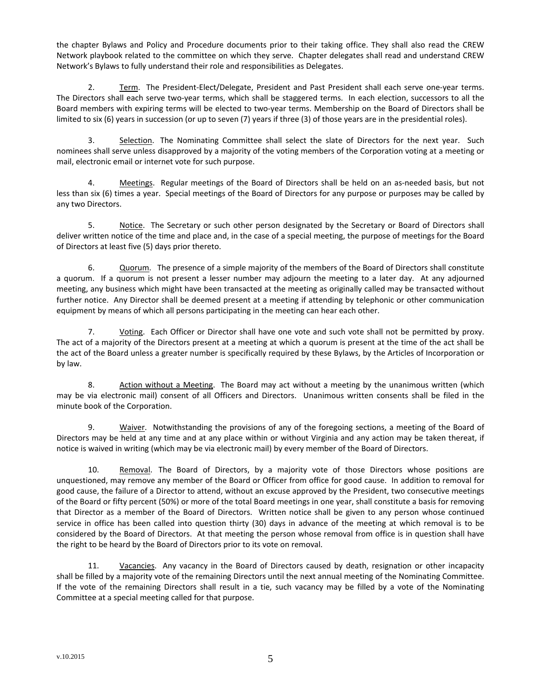the chapter Bylaws and Policy and Procedure documents prior to their taking office. They shall also read the CREW Network playbook related to the committee on which they serve. Chapter delegates shall read and understand CREW Network's Bylaws to fully understand their role and responsibilities as Delegates.

2. Term. The President‐Elect/Delegate, President and Past President shall each serve one‐year terms. The Directors shall each serve two‐year terms, which shall be staggered terms. In each election, successors to all the Board members with expiring terms will be elected to two-year terms. Membership on the Board of Directors shall be limited to six (6) years in succession (or up to seven (7) years if three (3) of those years are in the presidential roles).

3. Selection. The Nominating Committee shall select the slate of Directors for the next year. Such nominees shall serve unless disapproved by a majority of the voting members of the Corporation voting at a meeting or mail, electronic email or internet vote for such purpose.

4. Meetings. Regular meetings of the Board of Directors shall be held on an as-needed basis, but not less than six (6) times a year. Special meetings of the Board of Directors for any purpose or purposes may be called by any two Directors.

5. Notice. The Secretary or such other person designated by the Secretary or Board of Directors shall deliver written notice of the time and place and, in the case of a special meeting, the purpose of meetings for the Board of Directors at least five (5) days prior thereto.

6. Quorum. The presence of a simple majority of the members of the Board of Directors shall constitute a quorum. If a quorum is not present a lesser number may adjourn the meeting to a later day. At any adjourned meeting, any business which might have been transacted at the meeting as originally called may be transacted without further notice. Any Director shall be deemed present at a meeting if attending by telephonic or other communication equipment by means of which all persons participating in the meeting can hear each other.

7. Voting. Each Officer or Director shall have one vote and such vote shall not be permitted by proxy. The act of a majority of the Directors present at a meeting at which a quorum is present at the time of the act shall be the act of the Board unless a greater number is specifically required by these Bylaws, by the Articles of Incorporation or by law.

8. Action without a Meeting. The Board may act without a meeting by the unanimous written (which may be via electronic mail) consent of all Officers and Directors. Unanimous written consents shall be filed in the minute book of the Corporation.

9. Waiver. Notwithstanding the provisions of any of the foregoing sections, a meeting of the Board of Directors may be held at any time and at any place within or without Virginia and any action may be taken thereat, if notice is waived in writing (which may be via electronic mail) by every member of the Board of Directors.

10. Removal. The Board of Directors, by a majority vote of those Directors whose positions are unquestioned, may remove any member of the Board or Officer from office for good cause. In addition to removal for good cause, the failure of a Director to attend, without an excuse approved by the President, two consecutive meetings of the Board or fifty percent (50%) or more of the total Board meetings in one year, shall constitute a basis for removing that Director as a member of the Board of Directors. Written notice shall be given to any person whose continued service in office has been called into question thirty (30) days in advance of the meeting at which removal is to be considered by the Board of Directors. At that meeting the person whose removal from office is in question shall have the right to be heard by the Board of Directors prior to its vote on removal.

11. Vacancies. Any vacancy in the Board of Directors caused by death, resignation or other incapacity shall be filled by a majority vote of the remaining Directors until the next annual meeting of the Nominating Committee. If the vote of the remaining Directors shall result in a tie, such vacancy may be filled by a vote of the Nominating Committee at a special meeting called for that purpose.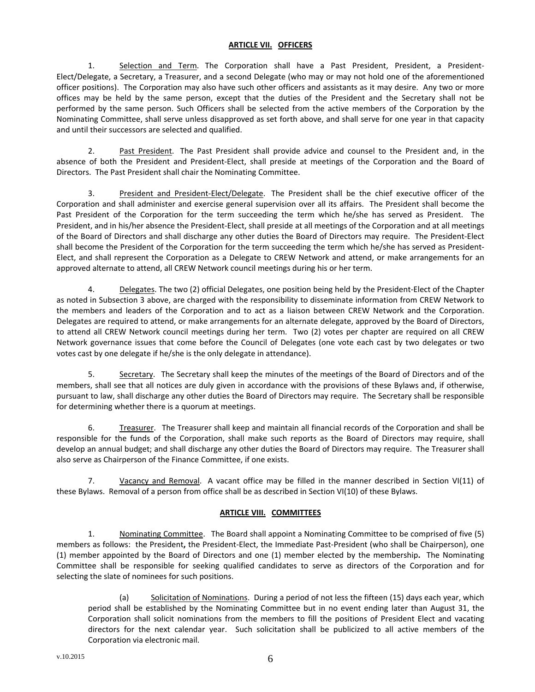## **ARTICLE VII. OFFICERS**

1. Selection and Term. The Corporation shall have a Past President, President, a President-Elect/Delegate, a Secretary, a Treasurer, and a second Delegate (who may or may not hold one of the aforementioned officer positions). The Corporation may also have such other officers and assistants as it may desire. Any two or more offices may be held by the same person, except that the duties of the President and the Secretary shall not be performed by the same person. Such Officers shall be selected from the active members of the Corporation by the Nominating Committee, shall serve unless disapproved as set forth above, and shall serve for one year in that capacity and until their successors are selected and qualified.

2. Past President. The Past President shall provide advice and counsel to the President and, in the absence of both the President and President‐Elect, shall preside at meetings of the Corporation and the Board of Directors. The Past President shall chair the Nominating Committee.

3. President and President‐Elect/Delegate. The President shall be the chief executive officer of the Corporation and shall administer and exercise general supervision over all its affairs. The President shall become the Past President of the Corporation for the term succeeding the term which he/she has served as President. The President, and in his/her absence the President‐Elect, shall preside at all meetings of the Corporation and at all meetings of the Board of Directors and shall discharge any other duties the Board of Directors may require. The President‐Elect shall become the President of the Corporation for the term succeeding the term which he/she has served as President‐ Elect, and shall represent the Corporation as a Delegate to CREW Network and attend, or make arrangements for an approved alternate to attend, all CREW Network council meetings during his or her term.

4. Delegates. The two (2) official Delegates, one position being held by the President‐Elect of the Chapter as noted in Subsection 3 above, are charged with the responsibility to disseminate information from CREW Network to the members and leaders of the Corporation and to act as a liaison between CREW Network and the Corporation. Delegates are required to attend, or make arrangements for an alternate delegate, approved by the Board of Directors, to attend all CREW Network council meetings during her term. Two (2) votes per chapter are required on all CREW Network governance issues that come before the Council of Delegates (one vote each cast by two delegates or two votes cast by one delegate if he/she is the only delegate in attendance).

5. Secretary. The Secretary shall keep the minutes of the meetings of the Board of Directors and of the members, shall see that all notices are duly given in accordance with the provisions of these Bylaws and, if otherwise, pursuant to law, shall discharge any other duties the Board of Directors may require. The Secretary shall be responsible for determining whether there is a quorum at meetings.

6. Treasurer. The Treasurer shall keep and maintain all financial records of the Corporation and shall be responsible for the funds of the Corporation, shall make such reports as the Board of Directors may require, shall develop an annual budget; and shall discharge any other duties the Board of Directors may require. The Treasurer shall also serve as Chairperson of the Finance Committee, if one exists.

7. Vacancy and Removal. A vacant office may be filled in the manner described in Section VI(11) of these Bylaws. Removal of a person from office shall be as described in Section VI(10) of these Bylaws.

## **ARTICLE VIII. COMMITTEES**

1. Nominating Committee. The Board shall appoint a Nominating Committee to be comprised of five (5) members as follows: the President**,** the President‐Elect, the Immediate Past‐President (who shall be Chairperson), one (1) member appointed by the Board of Directors and one (1) member elected by the membership**.** The Nominating Committee shall be responsible for seeking qualified candidates to serve as directors of the Corporation and for selecting the slate of nominees for such positions.

(a) Solicitation of Nominations. During a period of not less the fifteen (15) days each year, which period shall be established by the Nominating Committee but in no event ending later than August 31, the Corporation shall solicit nominations from the members to fill the positions of President Elect and vacating directors for the next calendar year. Such solicitation shall be publicized to all active members of the Corporation via electronic mail.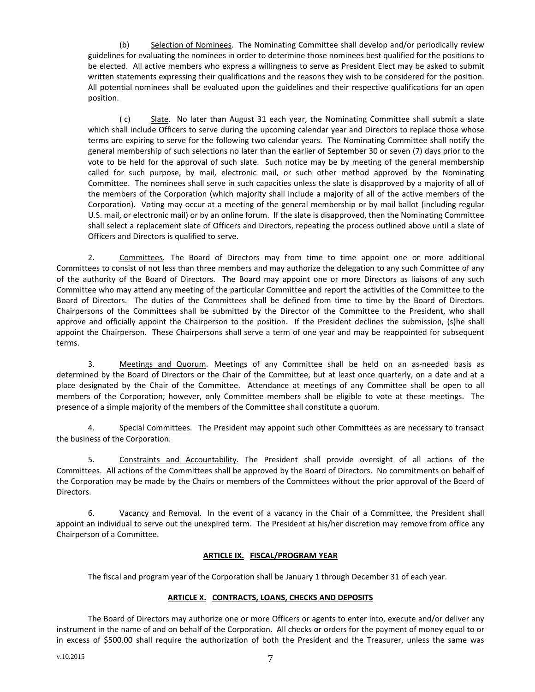(b) Selection of Nominees. The Nominating Committee shall develop and/or periodically review guidelines for evaluating the nominees in order to determine those nominees best qualified for the positions to be elected. All active members who express a willingness to serve as President Elect may be asked to submit written statements expressing their qualifications and the reasons they wish to be considered for the position. All potential nominees shall be evaluated upon the guidelines and their respective qualifications for an open position.

( c) Slate. No later than August 31 each year, the Nominating Committee shall submit a slate which shall include Officers to serve during the upcoming calendar year and Directors to replace those whose terms are expiring to serve for the following two calendar years. The Nominating Committee shall notify the general membership of such selections no later than the earlier of September 30 or seven (7) days prior to the vote to be held for the approval of such slate. Such notice may be by meeting of the general membership called for such purpose, by mail, electronic mail, or such other method approved by the Nominating Committee. The nominees shall serve in such capacities unless the slate is disapproved by a majority of all of the members of the Corporation (which majority shall include a majority of all of the active members of the Corporation). Voting may occur at a meeting of the general membership or by mail ballot (including regular U.S. mail, or electronic mail) or by an online forum. If the slate is disapproved, then the Nominating Committee shall select a replacement slate of Officers and Directors, repeating the process outlined above until a slate of Officers and Directors is qualified to serve.

2. Committees. The Board of Directors may from time to time appoint one or more additional Committees to consist of not less than three members and may authorize the delegation to any such Committee of any of the authority of the Board of Directors. The Board may appoint one or more Directors as liaisons of any such Committee who may attend any meeting of the particular Committee and report the activities of the Committee to the Board of Directors. The duties of the Committees shall be defined from time to time by the Board of Directors. Chairpersons of the Committees shall be submitted by the Director of the Committee to the President, who shall approve and officially appoint the Chairperson to the position. If the President declines the submission, (s)he shall appoint the Chairperson. These Chairpersons shall serve a term of one year and may be reappointed for subsequent terms.

3. Meetings and Quorum. Meetings of any Committee shall be held on an as-needed basis as determined by the Board of Directors or the Chair of the Committee, but at least once quarterly, on a date and at a place designated by the Chair of the Committee. Attendance at meetings of any Committee shall be open to all members of the Corporation; however, only Committee members shall be eligible to vote at these meetings. The presence of a simple majority of the members of the Committee shall constitute a quorum.

4. Special Committees. The President may appoint such other Committees as are necessary to transact the business of the Corporation.

5. Constraints and Accountability. The President shall provide oversight of all actions of the Committees. All actions of the Committees shall be approved by the Board of Directors. No commitments on behalf of the Corporation may be made by the Chairs or members of the Committees without the prior approval of the Board of Directors.

6. Vacancy and Removal. In the event of a vacancy in the Chair of a Committee, the President shall appoint an individual to serve out the unexpired term. The President at his/her discretion may remove from office any Chairperson of a Committee.

## **ARTICLE IX. FISCAL/PROGRAM YEAR**

The fiscal and program year of the Corporation shall be January 1 through December 31 of each year.

## **ARTICLE X. CONTRACTS, LOANS, CHECKS AND DEPOSITS**

The Board of Directors may authorize one or more Officers or agents to enter into, execute and/or deliver any instrument in the name of and on behalf of the Corporation. All checks or orders for the payment of money equal to or in excess of \$500.00 shall require the authorization of both the President and the Treasurer, unless the same was